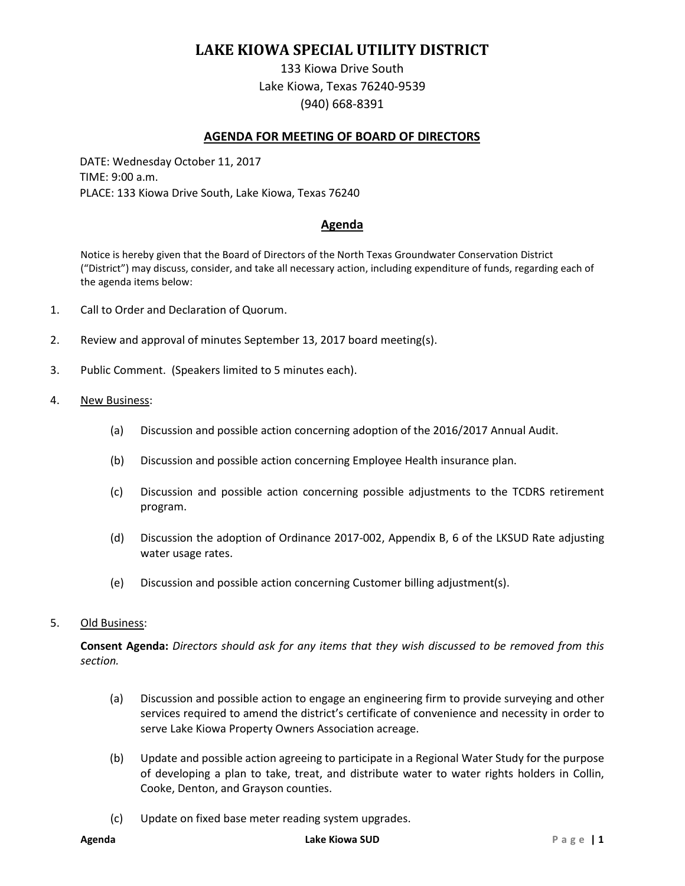# **LAKE KIOWA SPECIAL UTILITY DISTRICT**

133 Kiowa Drive South Lake Kiowa, Texas 76240-9539 (940) 668-8391

## **AGENDA FOR MEETING OF BOARD OF DIRECTORS**

DATE: Wednesday October 11, 2017 TIME: 9:00 a.m. PLACE: 133 Kiowa Drive South, Lake Kiowa, Texas 76240

# **Agenda**

Notice is hereby given that the Board of Directors of the North Texas Groundwater Conservation District ("District") may discuss, consider, and take all necessary action, including expenditure of funds, regarding each of the agenda items below:

- 1. Call to Order and Declaration of Quorum.
- 2. Review and approval of minutes September 13, 2017 board meeting(s).
- 3. Public Comment. (Speakers limited to 5 minutes each).
- 4. New Business:
	- (a) Discussion and possible action concerning adoption of the 2016/2017 Annual Audit.
	- (b) Discussion and possible action concerning Employee Health insurance plan.
	- (c) Discussion and possible action concerning possible adjustments to the TCDRS retirement program.
	- (d) Discussion the adoption of Ordinance 2017-002, Appendix B, 6 of the LKSUD Rate adjusting water usage rates.
	- (e) Discussion and possible action concerning Customer billing adjustment(s).

#### 5. Old Business:

**Consent Agenda:** *Directors should ask for any items that they wish discussed to be removed from this section.*

- (a) Discussion and possible action to engage an engineering firm to provide surveying and other services required to amend the district's certificate of convenience and necessity in order to serve Lake Kiowa Property Owners Association acreage.
- (b) Update and possible action agreeing to participate in a Regional Water Study for the purpose of developing a plan to take, treat, and distribute water to water rights holders in Collin, Cooke, Denton, and Grayson counties.
- (c) Update on fixed base meter reading system upgrades.